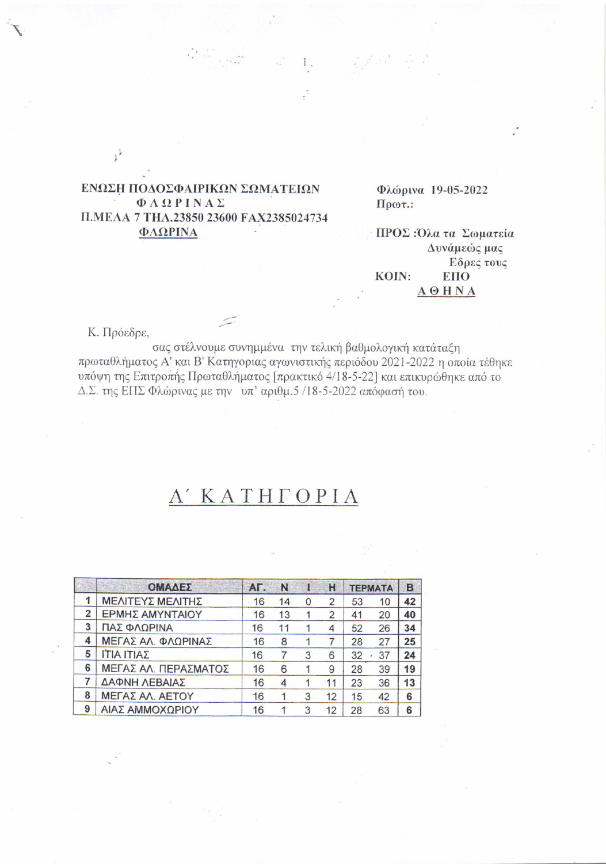## ΕΝΩΣΗ ΠΟΔΟΣΦΑΙΡΙΚΩΝ ΣΩΜΑΤΕΙΩΝ ΦΛΩΡΙΝΑΣ Π.ΜΕΛΑ 7 ΤΗΛ.23850 23600 FAX2385024734 ΦΛΩΡΙΝΑ

Φλώρινα 19-05-2022  $Πρωτ.$ 

ΠΡΟΣ: Όλα τα Σωματεία Δυνάμεώς μας Εδρες τους KOIN: **EIIO**  $A$  $<sup>0</sup>$  $H$ <sub>N</sub> $A$ </sup>

Κ. Πρόεδρε,

 $\frac{1}{2}$ 

σας στέλνουμε συνημμένα την τελική βαθμολογική κατάταξη πρωταθλήματος Α' και Β' Κατηγοριας αγωνιστικής περιόδου 2021-2022 η οποία τέθηκε υπόψη της Επιτροπής Πρωταθλήματος [πρακτικό 4/18-5-22] και επικυρώθηκε από το Δ.Σ. της ΕΠΣ Φλώρινας με την υπ' αριθμ.5 /18-5-2022 απόφασή του.

## A' KATHTOPIA

|                | ΟΜΑΔΕΣ               | AF. | N  |   | н            | <b>TEPMATA</b> |    | B  |
|----------------|----------------------|-----|----|---|--------------|----------------|----|----|
|                | ΜΕΛΙΤΕΥΣ ΜΕΛΙΤΗΣ     | 16  | 14 | 0 | $\mathbf{Z}$ | 53             | 10 | 42 |
| $\overline{2}$ | ΕΡΜΗΣ ΑΜΥΝΤΑΙΟΥ      | 16  | 13 |   | 2            | 41             | 20 | 40 |
| 3              | ΠΑΣ ΦΛΩΡΙΝΑ          | 16  | 11 |   | 4            | 52             | 26 | 34 |
| 4              | ΜΕΓΑΣ ΑΛ. ΦΛΩΡΙΝΑΣ   | 16  | 8  |   |              | 28             | 27 | 25 |
| 5              | ΙΤΙΑ ΙΤΙΑΣ           | 16  |    | 3 | 6            | 32             | 37 | 24 |
| 6              | ΜΕΓΑΣ ΑΛ. ΠΕΡΑΣΜΑΤΟΣ | 16  | 6  |   | 9            | 28             | 39 | 19 |
|                | ΔΑΦΝΗ ΛΕΒΑΙΑΣ        | 16  | 4  |   | 11           | 23             | 36 | 13 |
| 8              | ΜΕΓΑΣ ΑΛ. ΑΕΤΟΥ      | 16  |    | 3 | 12           | 15             | 42 | 6  |
| 9              | ΑΙΑΣ ΑΜΜΟΧΩΡΙΟΥ      | 16  |    | 3 | 12           | 28             | 63 | 6  |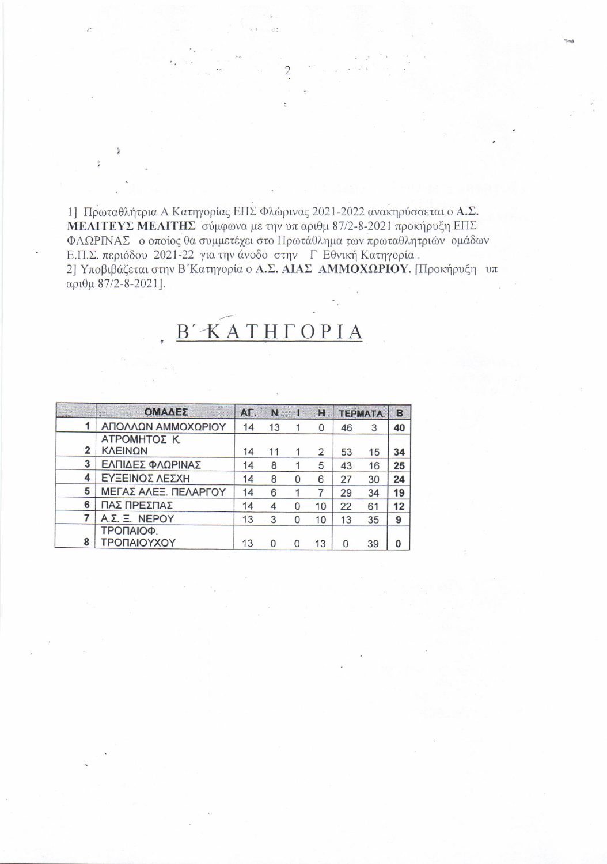1] Πρωταθλήτρια Α Κατηγορίας ΕΠΣ Φλώρινας 2021-2022 ανακηρύσσεται ο Α.Σ. ΜΕΛΙΤΕΥΣ ΜΕΛΙΤΗΣ σύμφωνα με την υπ αριθμ 87/2-8-2021 προκήρυξη ΕΠΣ ΦΛΩΡΙΝΑΣ ο οποίος θα συμμετέχει στο Πρωτάθλημα των πρωταθλητριών ομάδων Ε.Π.Σ. περιόδου 2021-22 για την άνοδο στην ΓΕθνική Κατηγορία. 2] Υποβιβάζεται στην Β΄ Κατηγορία ο Α.Σ. ΑΙΑΣ ΑΜΜΟΧΩΡΙΟΥ. [Προκήρυξη υπ αριθμ 87/2-8-2021].

## $\underline{B'KATHTOPIA}$

|   | ΟΜΑΔΕΣ               | AE. | N. |          | H  | <b>TEPMATA</b> |    | B  |
|---|----------------------|-----|----|----------|----|----------------|----|----|
|   | ΑΠΟΛΛΩΝ ΑΜΜΟΧΩΡΙΟΥ   | 14  | 13 |          | 0  | 46             | 3  | 40 |
|   | ΑΤΡΟΜΗΤΟΣ Κ.         |     |    |          |    |                |    |    |
| 2 | <b>KAEINQN</b>       | 14  | 11 | 1        | 2  | 53             | 15 | 34 |
| 3 | ΕΛΠΙΔΕΣ ΦΛΩΡΙΝΑΣ     | 14  | 8  |          | 5  | 43             | 16 | 25 |
| 4 | ΕΥΞΕΙΝΟΣ ΛΕΣΧΗ       | 14  | 8  | 0        | 6  | 27             | 30 | 24 |
| 5 | ΜΕΓΑΣ ΑΛΕΞ. ΠΕΛΑΡΓΟΥ | 14  | 6  |          | 7  | 29             | 34 | 19 |
| 6 | ΠΑΣ ΠΡΕΣΠΑΣ          | 14  | 4  | $\Omega$ | 10 | 22             | 61 | 12 |
| 7 | A.Σ. Ξ. NEPOY        | 13  | 3  | $\Omega$ | 10 | 13             | 35 | 9  |
|   | ΤΡΟΠΑΙΟΦ.            |     |    |          |    |                |    |    |
| 8 | ΤΡΟΠΑΙΟΥΧΟΥ          | 13  |    | O        | 13 | 0              | 39 | 0  |

å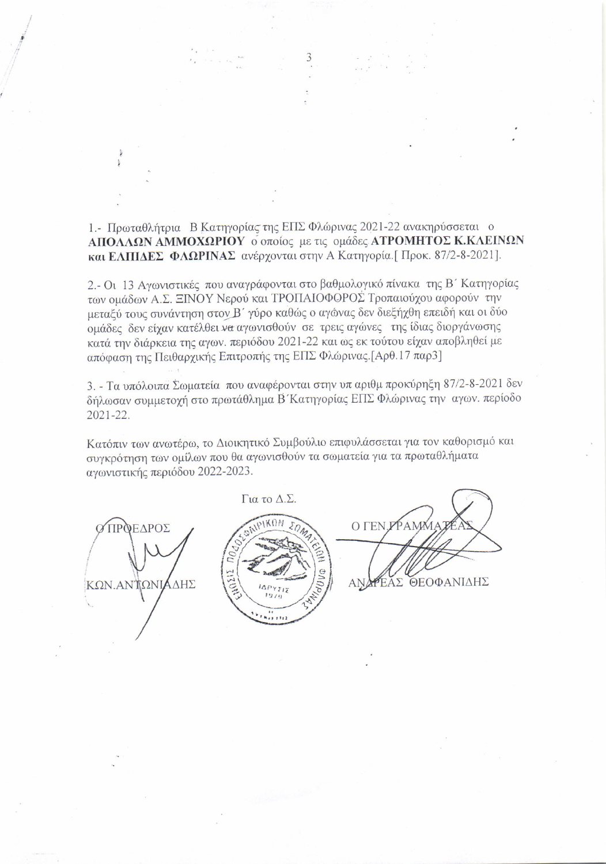1.- Πρωταθλήτρια Β Κατηγορίας της ΕΠΣ Φλώρινας 2021-22 ανακηρύσσεται ο ΑΠΟΛΛΩΝ ΑΜΜΟΧΩΡΙΟΥ ο οποίος με τις ομάδες ΑΤΡΟΜΗΤΟΣ Κ.ΚΛΕΙΝΩΝ και ΕΛΠΙΔΕΣ ΦΛΩΡΙΝΑΣ ανέρχονται στην Α Κατηγορία. [Προκ. 87/2-8-2021].

3

2.- Οι 13 Αγωνιστικές που αναγράφονται στο βαθμολογικό πίνακα της Β΄ Κατηγορίας των ομάδων Α.Σ. ΞΙΝΟΥ Νερού και ΤΡΟΠΑΙΟΦΟΡΟΣ Τροπαιούχου αφορούν την μεταξύ τους συνάντηση στον Β΄ γύρο καθώς ο αγώνας δεν διεξήχθη επειδή και οι δύο ομάδες δεν είχαν κατέλθει να αγωνισθούν σε τρεις αγώνες της ίδιας διοργάνωσης κατά την διάρκεια της αγων. περιόδου 2021-22 και ως εκ τούτου είχαν αποβληθεί με απόφαση της Πειθαρχικής Επιτροπής της ΕΠΣ Φλώρινας. [Αρθ.17 παρ3]

3. - Τα υπόλοιπα Σωματεία που αναφέρονται στην υπ αριθμ προκύρηξη 87/2-8-2021 δεν δήλωσαν συμμετοχή στο πρωτάθλημα Β΄ Κατηγορίας ΕΠΣ Φλώρινας την αγων. περίοδο 2021-22.

Κατόπιν των ανωτέρω, το Διοικητικό Συμβούλιο επιφυλάσσεται για τον καθορισμό και συγκρότηση των ομίλων που θα αγωνισθούν τα σωματεία για τα πρωταθλήματα αγωνιστικής περιόδου 2022-2023.

Για το Δ.Σ. DAIPIKON O *TEN.PPAM* ΠΡΟΕΔΡΟΣ **PHIATIVE** ΕΑΣ ΘΕΟΦΑΝΙΔΗΣ ΚΩΝ.ΑΝΤΩΝΙΑΔΗΣ **AN**  $717$  $1911$